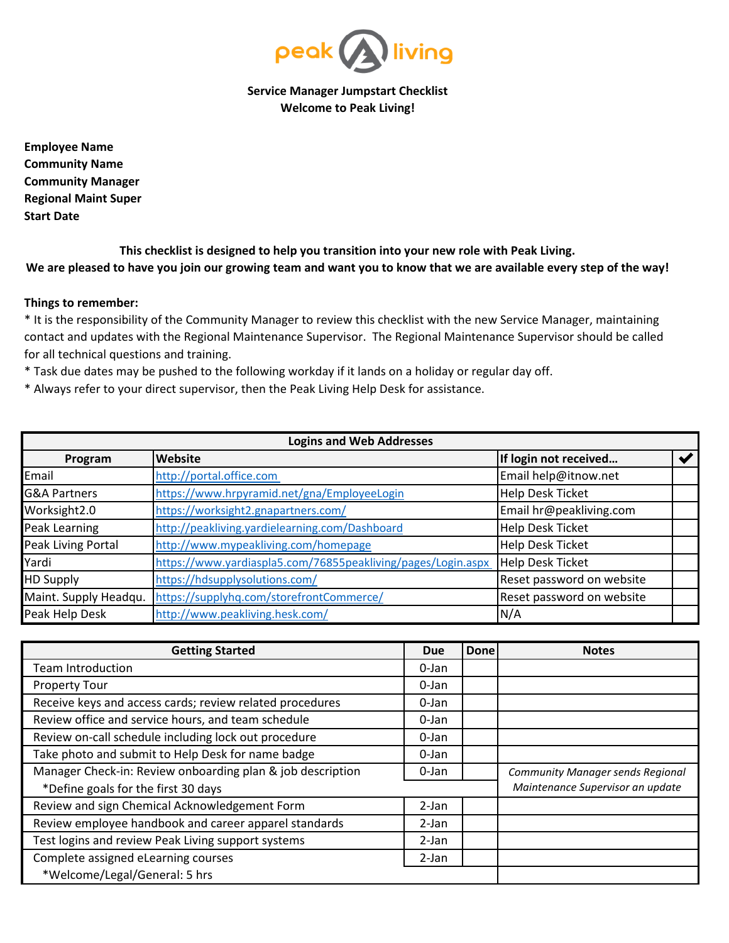

**Service Manager Jumpstart Checklist Welcome to Peak Living!**

**Start Date Employee Name Community Name Community Manager Regional Maint Super**

**This checklist is designed to help you transition into your new role with Peak Living. We are pleased to have you join our growing team and want you to know that we are available every step of the way!**

## **Things to remember:**

\* It is the responsibility of the Community Manager to review this checklist with the new Service Manager, maintaining contact and updates with the Regional Maintenance Supervisor. The Regional Maintenance Supervisor should be called for all technical questions and training.

\* Task due dates may be pushed to the following workday if it lands on a holiday or regular day off.

\* Always refer to your direct supervisor, then the Peak Living Help Desk for assistance.

| <b>Logins and Web Addresses</b> |                                                              |                           |  |  |  |  |
|---------------------------------|--------------------------------------------------------------|---------------------------|--|--|--|--|
| Program                         | Website                                                      | If login not received     |  |  |  |  |
| Email                           | http://portal.office.com                                     | Email help@itnow.net      |  |  |  |  |
| <b>G&amp;A Partners</b>         | https://www.hrpyramid.net/gna/EmployeeLogin                  | <b>Help Desk Ticket</b>   |  |  |  |  |
| Worksight2.0                    | https://worksight2.gnapartners.com/                          | Email hr@peakliving.com   |  |  |  |  |
| Peak Learning                   | http://peakliving.yardielearning.com/Dashboard               | <b>Help Desk Ticket</b>   |  |  |  |  |
| Peak Living Portal              | http://www.mypeakliving.com/homepage                         | <b>Help Desk Ticket</b>   |  |  |  |  |
| Yardi                           | https://www.yardiaspla5.com/76855peakliving/pages/Login.aspx | <b>Help Desk Ticket</b>   |  |  |  |  |
| <b>HD Supply</b>                | https://hdsupplysolutions.com/                               | Reset password on website |  |  |  |  |
| Maint. Supply Headqu.           | https://supplyhq.com/storefrontCommerce/                     | Reset password on website |  |  |  |  |
| Peak Help Desk                  | http://www.peakliving.hesk.com/                              | N/A                       |  |  |  |  |

| <b>Getting Started</b>                                     |         | Done | <b>Notes</b>                            |
|------------------------------------------------------------|---------|------|-----------------------------------------|
| Team Introduction                                          |         |      |                                         |
| <b>Property Tour</b>                                       |         |      |                                         |
| Receive keys and access cards; review related procedures   |         |      |                                         |
| Review office and service hours, and team schedule         |         |      |                                         |
| Review on-call schedule including lock out procedure       |         |      |                                         |
| Take photo and submit to Help Desk for name badge          |         |      |                                         |
| Manager Check-in: Review onboarding plan & job description |         |      | <b>Community Manager sends Regional</b> |
| *Define goals for the first 30 days                        |         |      | Maintenance Supervisor an update        |
| Review and sign Chemical Acknowledgement Form              | $2-Ian$ |      |                                         |
| Review employee handbook and career apparel standards      |         |      |                                         |
| Test logins and review Peak Living support systems         |         |      |                                         |
| Complete assigned eLearning courses                        |         |      |                                         |
| *Welcome/Legal/General: 5 hrs                              |         |      |                                         |